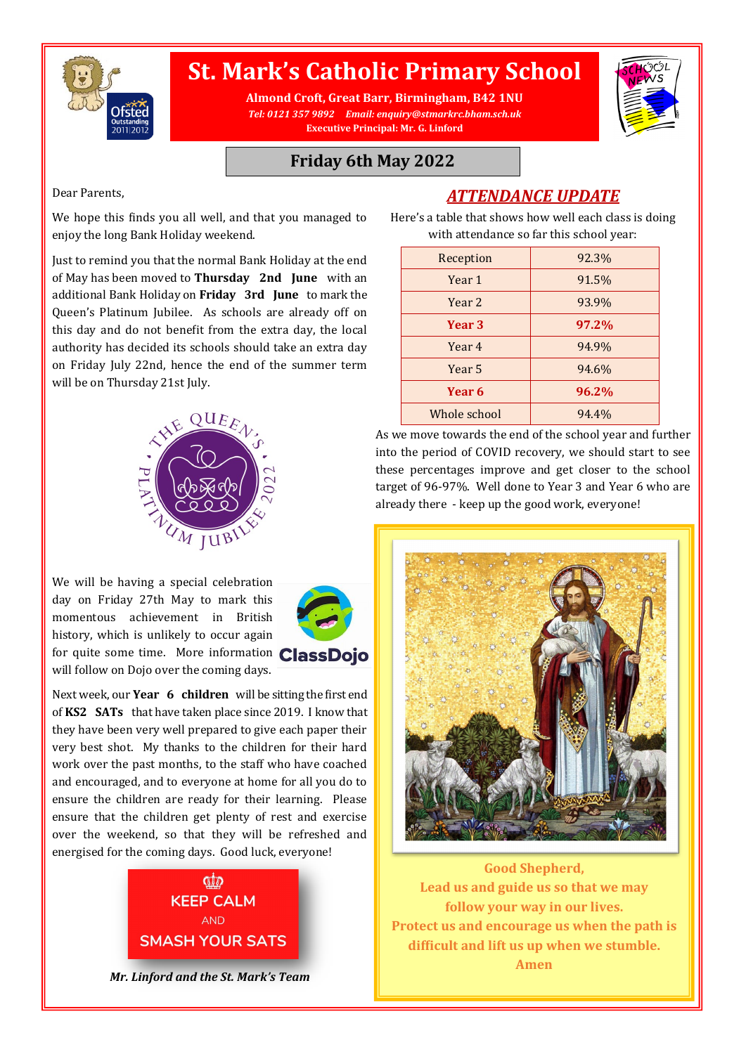

# **St. Mark's Catholic Primary School**

**Almond Croft, Great Barr, Birmingham, B42 1NU** *Tel: 0121 357 9892 Email: enquiry@stmarkrc.bham.sch.uk* **Executive Principal: Mr. G. Linford**



#### **Friday 6th May 2022**

Dear Parents,

*ATTENDANCE UPDATE*

We hope this finds you all well, and that you managed to enjoy the long Bank Holiday weekend.

Just to remind you that the normal Bank Holiday at the end of May has been moved to **Thursday 2nd June** with an additional Bank Holiday on **Friday 3rd June** to mark the Queen's Platinum Jubilee. As schools are already off on this day and do not benefit from the extra day, the local authority has decided its schools should take an extra day on Friday July 22nd, hence the end of the summer term will be on Thursday 21st July.



We will be having a special celebration day on Friday 27th May to mark this momentous achievement in British history, which is unlikely to occur again for quite some time. More information **ClassDojo** will follow on Dojo over the coming days.





*Mr. Linford and the St. Mark's Team* 

Here's a table that shows how well each class is doing with attendance so far this school year:

| Reception    | 92.3% |
|--------------|-------|
| Year 1       | 91.5% |
| Year 2       | 93.9% |
| Year 3       | 97.2% |
| Year 4       | 94.9% |
| Year 5       | 94.6% |
| Year 6       | 96.2% |
| Whole school | 94.4% |

As we move towards the end of the school year and further into the period of COVID recovery, we should start to see these percentages improve and get closer to the school target of 96-97%. Well done to Year 3 and Year 6 who are already there - keep up the good work, everyone!



**Good Shepherd, Lead us and guide us so that we may follow your way in our lives. Protect us and encourage us when the path is difficult and lift us up when we stumble. Amen**